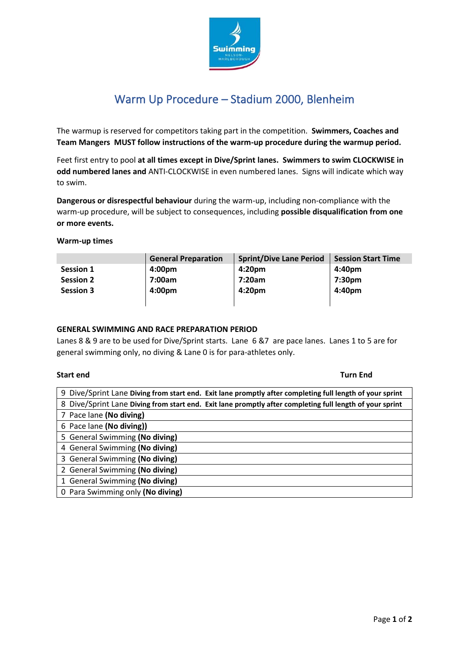

# Warm Up Procedure – Stadium 2000, Blenheim

The warmup is reserved for competitors taking part in the competition. **Swimmers, Coaches and Team Mangers MUST follow instructions of the warm-up procedure during the warmup period.**

Feet first entry to pool **at all times except in Dive/Sprint lanes. Swimmers to swim CLOCKWISE in odd numbered lanes and** ANTI-CLOCKWISE in even numbered lanes. Signs will indicate which way to swim.

**Dangerous or disrespectful behaviour** during the warm-up, including non-compliance with the warm-up procedure, will be subject to consequences, including **possible disqualification from one or more events.**

**Warm-up times**

|                  | <b>General Preparation</b> | <b>Sprint/Dive Lane Period</b> | <b>Session Start Time</b> |
|------------------|----------------------------|--------------------------------|---------------------------|
| Session 1        | 4:00 <sub>pm</sub>         | 4:20 <sub>pm</sub>             | 4:40pm                    |
| <b>Session 2</b> | 7:00am                     | 7:20am                         | 7:30 <sub>pm</sub>        |
| <b>Session 3</b> | 4:00 <sub>pm</sub>         | 4:20 <sub>pm</sub>             | 4:40pm                    |
|                  |                            |                                |                           |

# **GENERAL SWIMMING AND RACE PREPARATION PERIOD**

Lanes 8 & 9 are to be used for Dive/Sprint starts. Lane 6 &7 are pace lanes. Lanes 1 to 5 are for general swimming only, no diving & Lane 0 is for para-athletes only.

### **Start end Turn End**

| 9 Dive/Sprint Lane Diving from start end. Exit lane promptly after completing full length of your sprint |
|----------------------------------------------------------------------------------------------------------|
| 8 Dive/Sprint Lane Diving from start end. Exit lane promptly after completing full length of your sprint |
| 7 Pace lane (No diving)                                                                                  |
| 6 Pace lane (No diving))                                                                                 |
| 5 General Swimming (No diving)                                                                           |
| 4 General Swimming (No diving)                                                                           |
| 3 General Swimming (No diving)                                                                           |
| 2 General Swimming (No diving)                                                                           |
| 1 General Swimming (No diving)                                                                           |
| 0 Para Swimming only (No diving)                                                                         |
|                                                                                                          |